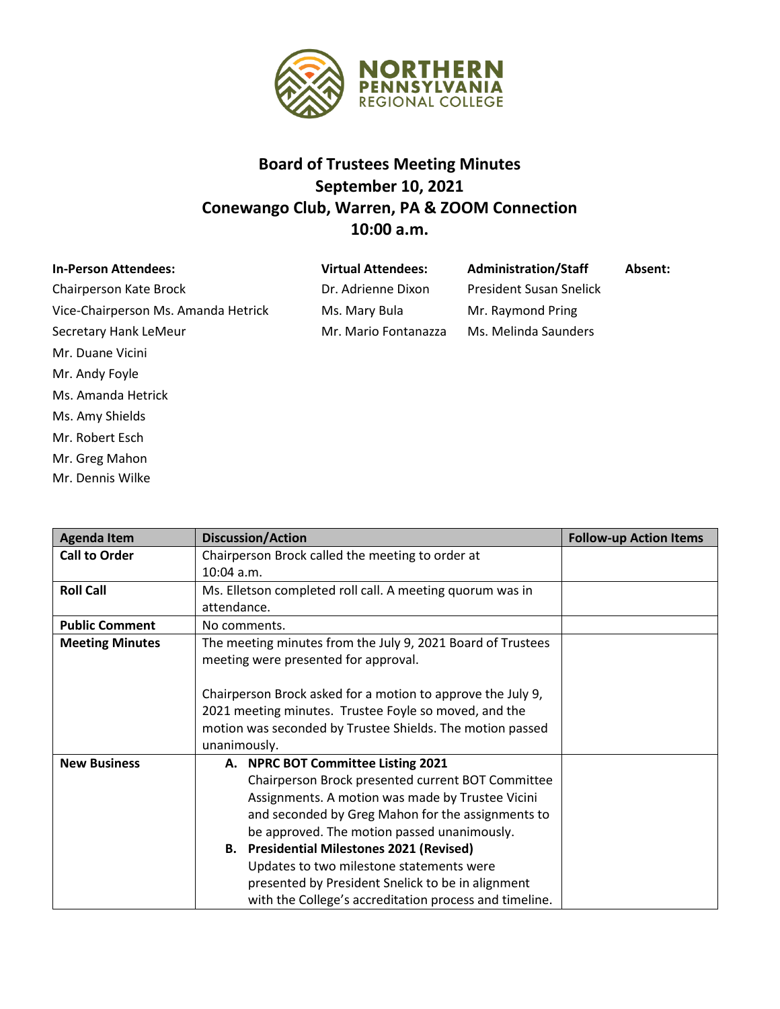

## **Board of Trustees Meeting Minutes September 10, 2021 Conewango Club, Warren, PA & ZOOM Connection 10:00 a.m.**

| <b>In-Person Attendees:</b>         | <b>Virtual Attendees:</b> | <b>Administration/Staff</b>    | Absent: |
|-------------------------------------|---------------------------|--------------------------------|---------|
| Chairperson Kate Brock              | Dr. Adrienne Dixon        | <b>President Susan Snelick</b> |         |
| Vice-Chairperson Ms. Amanda Hetrick | Ms. Mary Bula             | Mr. Raymond Pring              |         |
| Secretary Hank LeMeur               | Mr. Mario Fontanazza      | Ms. Melinda Saunders           |         |
| Mr. Duane Vicini                    |                           |                                |         |
| Mr. Andy Foyle                      |                           |                                |         |
| Ms. Amanda Hetrick                  |                           |                                |         |

Ms. Amy Shields Mr. Robert Esch Mr. Greg Mahon Mr. Dennis Wilke

| <b>Agenda Item</b>     | <b>Discussion/Action</b>                                                                                                                                                                                                                                                                                                                                                                                                                                       | <b>Follow-up Action Items</b> |
|------------------------|----------------------------------------------------------------------------------------------------------------------------------------------------------------------------------------------------------------------------------------------------------------------------------------------------------------------------------------------------------------------------------------------------------------------------------------------------------------|-------------------------------|
| <b>Call to Order</b>   | Chairperson Brock called the meeting to order at                                                                                                                                                                                                                                                                                                                                                                                                               |                               |
|                        | $10:04$ a.m.                                                                                                                                                                                                                                                                                                                                                                                                                                                   |                               |
| <b>Roll Call</b>       | Ms. Elletson completed roll call. A meeting quorum was in                                                                                                                                                                                                                                                                                                                                                                                                      |                               |
|                        | attendance.                                                                                                                                                                                                                                                                                                                                                                                                                                                    |                               |
| <b>Public Comment</b>  | No comments.                                                                                                                                                                                                                                                                                                                                                                                                                                                   |                               |
| <b>Meeting Minutes</b> | The meeting minutes from the July 9, 2021 Board of Trustees<br>meeting were presented for approval.                                                                                                                                                                                                                                                                                                                                                            |                               |
|                        | Chairperson Brock asked for a motion to approve the July 9,<br>2021 meeting minutes. Trustee Foyle so moved, and the<br>motion was seconded by Trustee Shields. The motion passed<br>unanimously.                                                                                                                                                                                                                                                              |                               |
| <b>New Business</b>    | A. NPRC BOT Committee Listing 2021<br>Chairperson Brock presented current BOT Committee<br>Assignments. A motion was made by Trustee Vicini<br>and seconded by Greg Mahon for the assignments to<br>be approved. The motion passed unanimously.<br><b>B.</b> Presidential Milestones 2021 (Revised)<br>Updates to two milestone statements were<br>presented by President Snelick to be in alignment<br>with the College's accreditation process and timeline. |                               |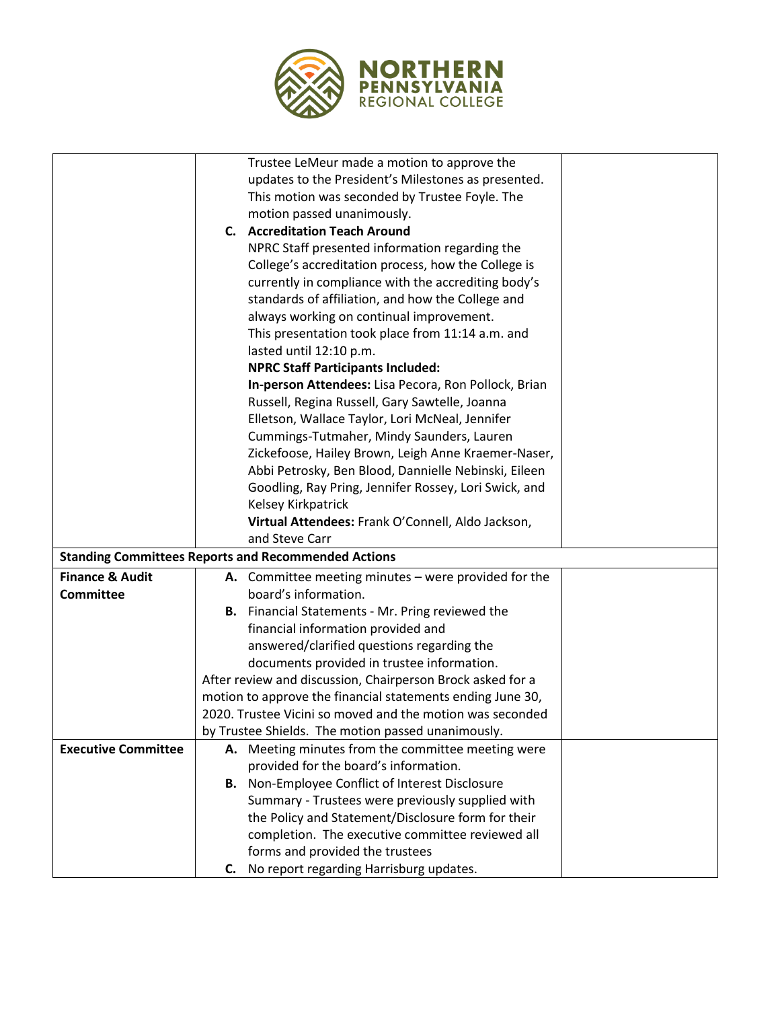

|                            | Trustee LeMeur made a motion to approve the                |
|----------------------------|------------------------------------------------------------|
|                            | updates to the President's Milestones as presented.        |
|                            | This motion was seconded by Trustee Foyle. The             |
|                            | motion passed unanimously.                                 |
|                            | C. Accreditation Teach Around                              |
|                            | NPRC Staff presented information regarding the             |
|                            | College's accreditation process, how the College is        |
|                            | currently in compliance with the accrediting body's        |
|                            | standards of affiliation, and how the College and          |
|                            | always working on continual improvement.                   |
|                            | This presentation took place from 11:14 a.m. and           |
|                            | lasted until 12:10 p.m.                                    |
|                            | <b>NPRC Staff Participants Included:</b>                   |
|                            | In-person Attendees: Lisa Pecora, Ron Pollock, Brian       |
|                            | Russell, Regina Russell, Gary Sawtelle, Joanna             |
|                            | Elletson, Wallace Taylor, Lori McNeal, Jennifer            |
|                            | Cummings-Tutmaher, Mindy Saunders, Lauren                  |
|                            | Zickefoose, Hailey Brown, Leigh Anne Kraemer-Naser,        |
|                            | Abbi Petrosky, Ben Blood, Dannielle Nebinski, Eileen       |
|                            | Goodling, Ray Pring, Jennifer Rossey, Lori Swick, and      |
|                            | Kelsey Kirkpatrick                                         |
|                            | Virtual Attendees: Frank O'Connell, Aldo Jackson,          |
|                            | and Steve Carr                                             |
|                            | <b>Standing Committees Reports and Recommended Actions</b> |
| <b>Finance &amp; Audit</b> | A. Committee meeting minutes - were provided for the       |
| <b>Committee</b>           | board's information.                                       |
|                            | <b>B.</b> Financial Statements - Mr. Pring reviewed the    |
|                            | financial information provided and                         |
|                            | answered/clarified questions regarding the                 |
|                            | documents provided in trustee information.                 |
|                            | After review and discussion, Chairperson Brock asked for a |
|                            | motion to approve the financial statements ending June 30, |
|                            | 2020. Trustee Vicini so moved and the motion was seconded  |
|                            | by Trustee Shields. The motion passed unanimously.         |
| <b>Executive Committee</b> | A. Meeting minutes from the committee meeting were         |
|                            | provided for the board's information.                      |
|                            | B. Non-Employee Conflict of Interest Disclosure            |
|                            | Summary - Trustees were previously supplied with           |
|                            | the Policy and Statement/Disclosure form for their         |
|                            | completion. The executive committee reviewed all           |
|                            | forms and provided the trustees                            |
|                            | No report regarding Harrisburg updates.<br>C.              |
|                            |                                                            |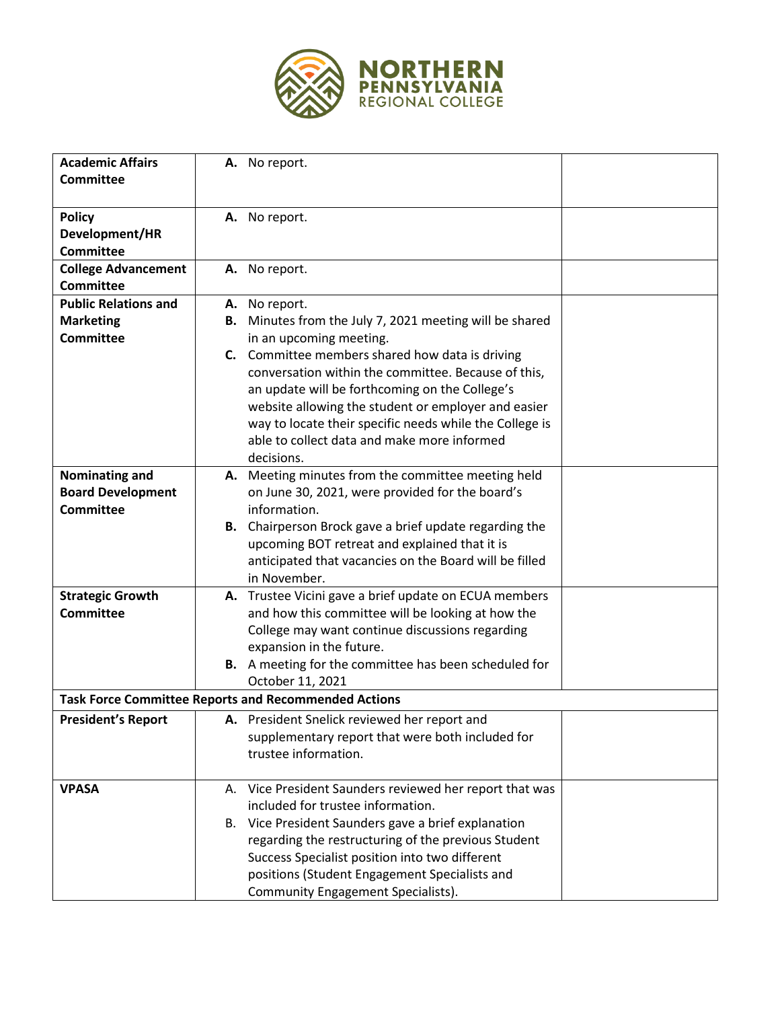

| <b>Academic Affairs</b>     | A. No report.                                                  |  |
|-----------------------------|----------------------------------------------------------------|--|
| <b>Committee</b>            |                                                                |  |
|                             |                                                                |  |
| <b>Policy</b>               | A. No report.                                                  |  |
| Development/HR              |                                                                |  |
| <b>Committee</b>            |                                                                |  |
| <b>College Advancement</b>  | A. No report.                                                  |  |
| <b>Committee</b>            |                                                                |  |
| <b>Public Relations and</b> | A. No report.                                                  |  |
| <b>Marketing</b>            | <b>B.</b> Minutes from the July 7, 2021 meeting will be shared |  |
| <b>Committee</b>            | in an upcoming meeting.                                        |  |
|                             | C. Committee members shared how data is driving                |  |
|                             | conversation within the committee. Because of this,            |  |
|                             | an update will be forthcoming on the College's                 |  |
|                             | website allowing the student or employer and easier            |  |
|                             | way to locate their specific needs while the College is        |  |
|                             | able to collect data and make more informed                    |  |
|                             | decisions.                                                     |  |
| Nominating and              | A. Meeting minutes from the committee meeting held             |  |
| <b>Board Development</b>    | on June 30, 2021, were provided for the board's                |  |
| <b>Committee</b>            | information.                                                   |  |
|                             | <b>B.</b> Chairperson Brock gave a brief update regarding the  |  |
|                             | upcoming BOT retreat and explained that it is                  |  |
|                             | anticipated that vacancies on the Board will be filled         |  |
|                             | in November.                                                   |  |
| <b>Strategic Growth</b>     | A. Trustee Vicini gave a brief update on ECUA members          |  |
| <b>Committee</b>            | and how this committee will be looking at how the              |  |
|                             | College may want continue discussions regarding                |  |
|                             | expansion in the future.                                       |  |
|                             | B. A meeting for the committee has been scheduled for          |  |
|                             | October 11, 2021                                               |  |
|                             | <b>Task Force Committee Reports and Recommended Actions</b>    |  |
| <b>President's Report</b>   | A. President Snelick reviewed her report and                   |  |
|                             | supplementary report that were both included for               |  |
|                             | trustee information.                                           |  |
|                             |                                                                |  |
| <b>VPASA</b>                | A. Vice President Saunders reviewed her report that was        |  |
|                             | included for trustee information.                              |  |
|                             | B. Vice President Saunders gave a brief explanation            |  |
|                             | regarding the restructuring of the previous Student            |  |
|                             | Success Specialist position into two different                 |  |
|                             | positions (Student Engagement Specialists and                  |  |
|                             | <b>Community Engagement Specialists).</b>                      |  |